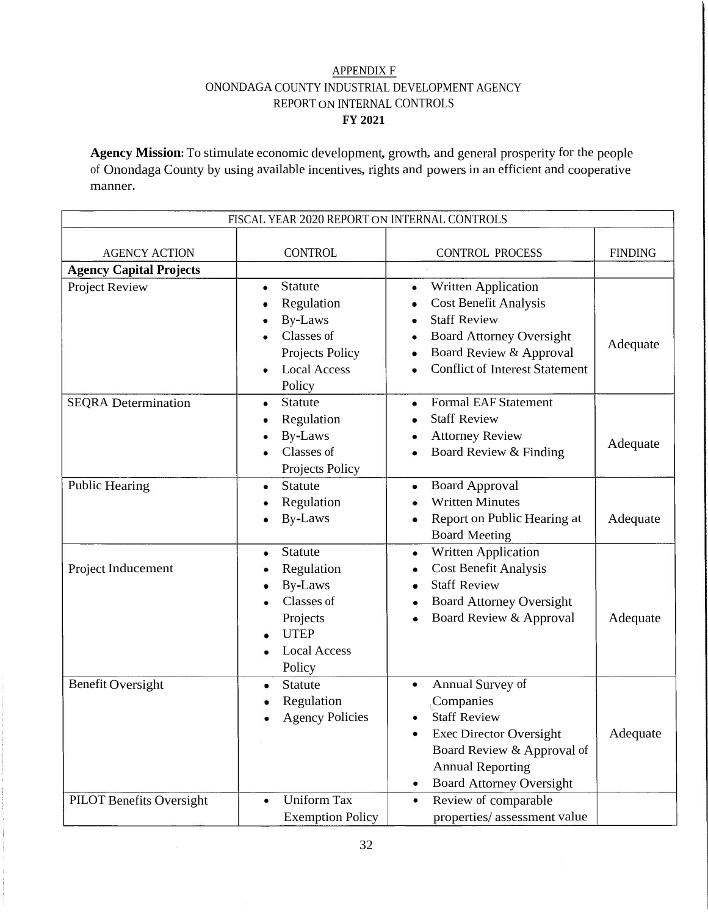## APPENDIX F ONONDAGA COUNTY INDUSTRIAL DEVELOPMENT AGENCY REPORT ON INTERNAL CONTROLS **FY 2021**

**Agency Mission:** To stimulate economic development, growth, and general prosperity for the people of Onondaga County by using available incentives, rights and powers in an efficient and cooperative manner.

| FISCAL YEAR 2020 REPORT ON INTERNAL CONTROLS |                                                                                                                               |                                                                                                                                                                                                              |                |  |
|----------------------------------------------|-------------------------------------------------------------------------------------------------------------------------------|--------------------------------------------------------------------------------------------------------------------------------------------------------------------------------------------------------------|----------------|--|
| <b>AGENCY ACTION</b>                         | <b>CONTROL</b>                                                                                                                | <b>CONTROL PROCESS</b>                                                                                                                                                                                       | <b>FINDING</b> |  |
| <b>Agency Capital Projects</b>               |                                                                                                                               |                                                                                                                                                                                                              |                |  |
| Project Review                               | <b>Statute</b><br>٠<br>Regulation<br><b>By-Laws</b><br>Classes of<br>Projects Policy<br><b>Local Access</b><br>Policy         | Written Application<br>٠<br><b>Cost Benefit Analysis</b><br><b>Staff Review</b><br><b>Board Attorney Oversight</b><br>Board Review & Approval<br><b>Conflict of Interest Statement</b>                       | Adequate       |  |
| <b>SEQRA</b> Determination                   | <b>Statute</b><br>Regulation<br>By-Laws<br>Classes of<br>Projects Policy                                                      | <b>Formal EAF Statement</b><br><b>Staff Review</b><br><b>Attorney Review</b><br>Board Review & Finding                                                                                                       | Adequate       |  |
| <b>Public Hearing</b>                        | <b>Statute</b><br>Regulation<br><b>By-Laws</b>                                                                                | <b>Board Approval</b><br><b>Written Minutes</b><br>Report on Public Hearing at<br><b>Board Meeting</b>                                                                                                       | Adequate       |  |
| Project Inducement                           | <b>Statute</b><br>٠<br>Regulation<br><b>By-Laws</b><br>Classes of<br>Projects<br><b>UTEP</b><br><b>Local Access</b><br>Policy | Written Application<br>٠<br><b>Cost Benefit Analysis</b><br><b>Staff Review</b><br>٠<br><b>Board Attorney Oversight</b><br>Board Review & Approval                                                           | Adequate       |  |
| <b>Benefit Oversight</b>                     | <b>Statute</b><br>٠<br>Regulation<br><b>Agency Policies</b>                                                                   | Annual Survey of<br>$\bullet$<br>Companies<br><b>Staff Review</b><br>$\bullet$<br><b>Exec Director Oversight</b><br>Board Review & Approval of<br><b>Annual Reporting</b><br><b>Board Attorney Oversight</b> | Adequate       |  |
| <b>PILOT Benefits Oversight</b>              | <b>Uniform Tax</b><br>$\bullet$<br><b>Exemption Policy</b>                                                                    | Review of comparable<br>$\bullet$<br>properties/assessment value                                                                                                                                             |                |  |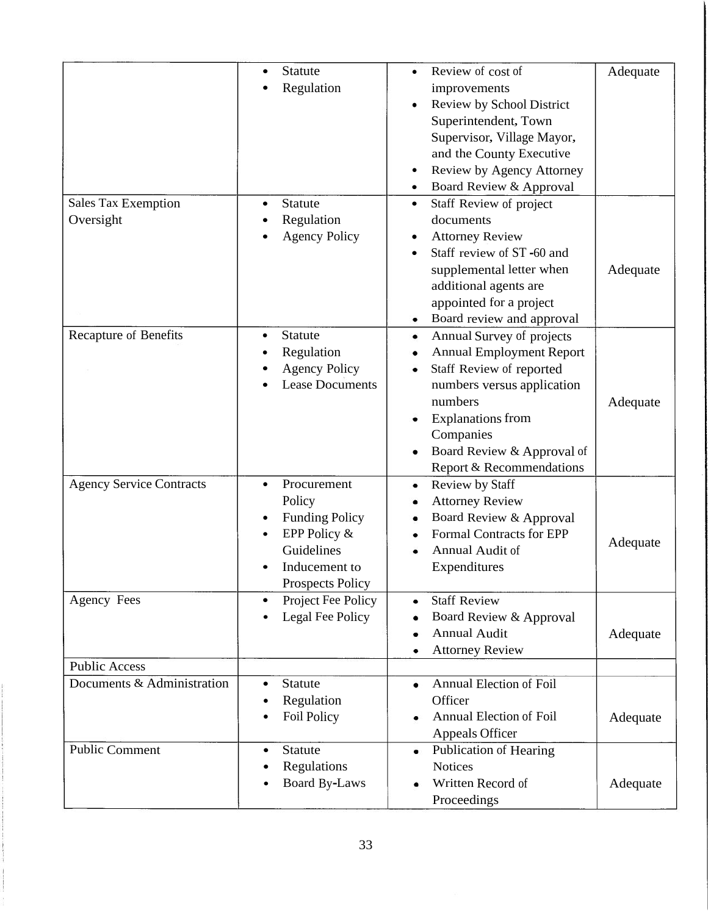|                                                    | <b>Statute</b><br>Regulation                                                                                                                                                          | Review of cost of<br>improvements<br>Review by School District<br>Superintendent, Town<br>Supervisor, Village Mayor,<br>and the County Executive<br>Review by Agency Attorney<br>Board Review & Approval                                  | Adequate |
|----------------------------------------------------|---------------------------------------------------------------------------------------------------------------------------------------------------------------------------------------|-------------------------------------------------------------------------------------------------------------------------------------------------------------------------------------------------------------------------------------------|----------|
| <b>Sales Tax Exemption</b><br>Oversight            | <b>Statute</b><br>$\bullet$<br>Regulation<br><b>Agency Policy</b>                                                                                                                     | Staff Review of project<br>$\bullet$<br>documents<br><b>Attorney Review</b><br>Staff review of ST-60 and<br>supplemental letter when<br>additional agents are<br>appointed for a project<br>Board review and approval                     | Adequate |
| <b>Recapture of Benefits</b>                       | Statute<br>٠<br>Regulation<br><b>Agency Policy</b><br><b>Lease Documents</b>                                                                                                          | Annual Survey of projects<br>٠<br><b>Annual Employment Report</b><br>Staff Review of reported<br>numbers versus application<br>numbers<br><b>Explanations</b> from<br>Companies<br>Board Review & Approval of<br>Report & Recommendations | Adequate |
| <b>Agency Service Contracts</b><br>Agency Fees     | Procurement<br>$\bullet$<br>Policy<br><b>Funding Policy</b><br>$\bullet$<br>EPP Policy &<br>Guidelines<br>Inducement to<br><b>Prospects Policy</b><br>Project Fee Policy<br>$\bullet$ | Review by Staff<br>٠<br><b>Attorney Review</b><br>Board Review & Approval<br><b>Formal Contracts for EPP</b><br>Annual Audit of<br>Expenditures<br><b>Staff Review</b><br>٠                                                               | Adequate |
|                                                    | Legal Fee Policy                                                                                                                                                                      | Board Review & Approval<br>٠<br><b>Annual Audit</b><br><b>Attorney Review</b><br>٠                                                                                                                                                        | Adequate |
| <b>Public Access</b><br>Documents & Administration | Statute                                                                                                                                                                               | Annual Election of Foil<br>۰                                                                                                                                                                                                              |          |
|                                                    | Regulation<br><b>Foil Policy</b>                                                                                                                                                      | Officer<br><b>Annual Election of Foil</b><br><b>Appeals Officer</b>                                                                                                                                                                       | Adequate |
| <b>Public Comment</b>                              | <b>Statute</b><br>$\bullet$<br>Regulations<br>Board By-Laws                                                                                                                           | <b>Publication of Hearing</b><br>٠<br><b>Notices</b><br>Written Record of<br>Proceedings                                                                                                                                                  | Adequate |